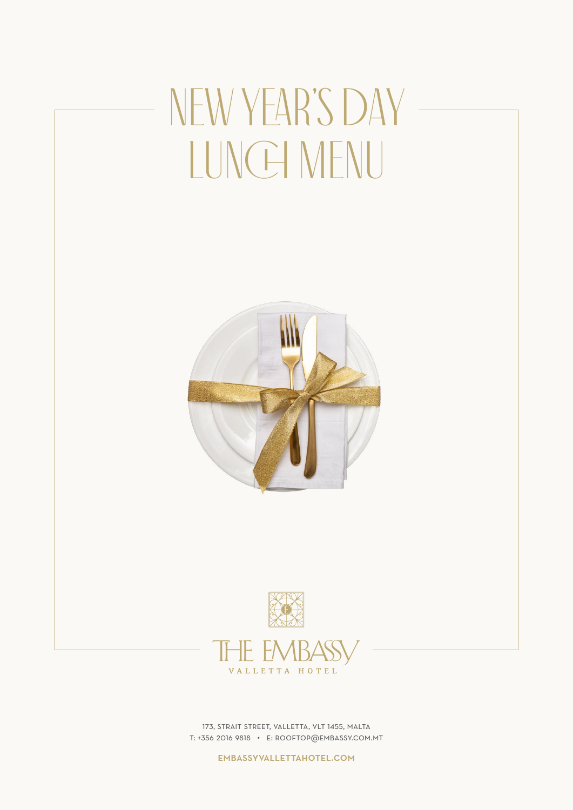# NEW YEAR'S DAY -LUNCH MENU





173, strait street, valletta, vlt 1455, malta t: +356 2016 9818 • e: rooftop@embassy.com.mt

embassyvallettahotel.com